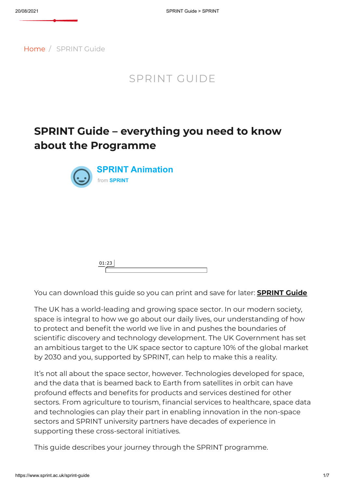

[Home](https://www.sprint.ac.uk/) / SPRINT Guide

### SPRINT GUIDE

## **SPRINT Guide – everything you need to know about the Programme**



You can download this guide so you can print and save for later: **[SPRINT](https://www.sprint.ac.uk/wp-content/uploads/2021/03/SPRINT-Guide-_-SPRINT.pdf) Guide**

The UK has a world-leading and growing space sector. In our modern society, space is integral to how we go about our daily lives, our understanding of how to protect and benefit the world we live in and pushes the boundaries of scientific discovery and technology development. The UK Government has set an ambitious target to the UK space sector to capture 10% of the global market by 2030 and you, supported by SPRINT, can help to make this a reality.

It's not all about the space sector, however. Technologies developed for space, and the data that is beamed back to Earth from satellites in orbit can have profound effects and benefits for products and services destined for other sectors. From agriculture to tourism, financial services to healthcare, space data and technologies can play their part in enabling innovation in the non-space sectors and SPRINT university partners have decades of experience in supporting these cross-sectoral initiatives.

This guide describes your journey through the SPRINT programme.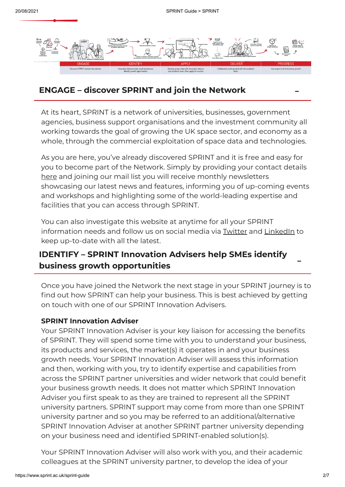

#### **ENGAGE – discover SPRINT and join the Network** -

At its heart, SPRINT is a network of universities, businesses, government agencies, business support organisations and the investment community all working towards the goal of growing the UK space sector, and economy as a whole, through the commercial exploitation of space data and technologies.

As you are here, you've already discovered SPRINT and it is free and easy for you to become part of the Network. Simply by providing your contact details [here](https://www.sprint.ac.uk/subscribe/) and joining our mail list you will receive monthly newsletters showcasing our latest news and features, informing you of up-coming events and workshops and highlighting some of the world-leading expertise and facilities that you can access through SPRINT.

You can also investigate this website at anytime for all your SPRINT information needs and follow us on social media via [Twitter](https://twitter.com/sprintforspace) and [LinkedIn](https://linkedin.com/company/sprintnetwork/) to keep up-to-date with all the latest.

# **IDENTIFY – SPRINT Innovation Advisers help SMEs identify business growth opportunities** -

Once you have joined the Network the next stage in your SPRINT journey is to find out how SPRINT can help your business. This is best achieved by getting on touch with one of our SPRINT Innovation Advisers.

#### **SPRINT Innovation Adviser**

Your SPRINT Innovation Adviser is your key liaison for accessing the benefits of SPRINT. They will spend some time with you to understand your business, its products and services, the market(s) it operates in and your business growth needs. Your SPRINT Innovation Adviser will assess this information and then, working with you, try to identify expertise and capabilities from across the SPRINT partner universities and wider network that could benefit your business growth needs. It does not matter which SPRINT Innovation Adviser you first speak to as they are trained to represent all the SPRINT university partners. SPRINT support may come from more than one SPRINT university partner and so you may be referred to an additional/alternative SPRINT Innovation Adviser at another SPRINT partner university depending on your business need and identified SPRINT-enabled solution(s).

Your SPRINT Innovation Adviser will also work with you, and their academic colleagues at the SPRINT university partner, to develop the idea of your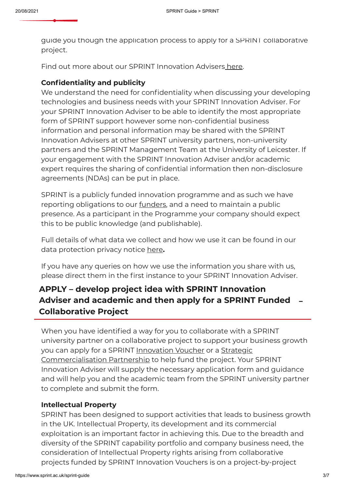## Separative project between your business and the collaborative project between your business  $\mathcal{L}(\mathcal{L})$

guide you though the application process to apply for a SPRINT collaborative project.

Find out more about our SPRINT Innovation Advisers [here](https://www.sprint.ac.uk/innovation-advisers/).

#### **Confidentiality and publicity**

We understand the need for confidentiality when discussing your developing technologies and business needs with your SPRINT Innovation Adviser. For your SPRINT Innovation Adviser to be able to identify the most appropriate form of SPRINT support however some non-confidential business information and personal information may be shared with the SPRINT Innovation Advisers at other SPRINT university partners, non-university partners and the SPRINT Management Team at the University of Leicester. If your engagement with the SPRINT Innovation Adviser and/or academic expert requires the sharing of confidential information then non-disclosure agreements (NDAs) can be put in place.

SPRINT is a publicly funded innovation programme and as such we have reporting obligations to our <u>[funders](https://www.sprint.ac.uk/about-us/)</u>, and a need to maintain a public presence. As a participant in the Programme your company should expect this to be public knowledge (and publishable).

Full details of what data we collect and how we use it can be found in our data protection privacy notice [here](https://www.sprint.ac.uk/privacy-policy/)**.**

If you have any queries on how we use the information you share with us, please direct them in the first instance to your SPRINT Innovation Adviser.

### **APPLY – develop project idea with SPRINT Innovation Adviser and academic and then apply for a SPRINT Funded** - **Collaborative Project**

When you have identified a way for you to collaborate with a SPRINT university partner on a collaborative project to support your business growth you can apply for a SPRINT [Innovation](https://www.sprint.ac.uk/innovation-vouchers/) Voucher or a Strategic [Commercialisation](https://www.sprint.ac.uk/strategic-commercialisation-partnerships/) Partnership to help fund the project. Your SPRINT Innovation Adviser will supply the necessary application form and guidance and will help you and the academic team from the SPRINT university partner to complete and submit the form.

#### **Intellectual Property**

SPRINT has been designed to support activities that leads to business growth in the UK. Intellectual Property, its development and its commercial exploitation is an important factor in achieving this. Due to the breadth and diversity of the SPRINT capability portfolio and company business need, the consideration of Intellectual Property rights arising from collaborative projects funded by SPRINT Innovation Vouchers is on a project-by-project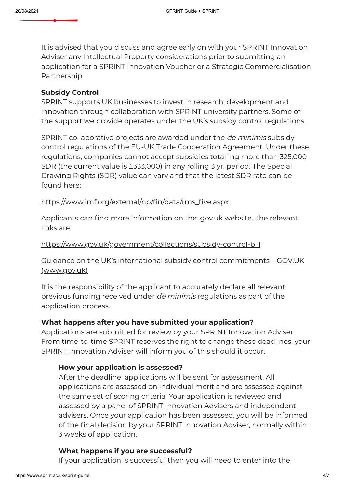

It is advised that you discuss and agree early on with your SPRINT Innovation Adviser any Intellectual Property considerations prior to submitting an application for a SPRINT Innovation Voucher or a Strategic Commercialisation Partnership.

#### **Subsidy Control**

SPRINT supports UK businesses to invest in research, development and innovation through collaboration with SPRINT university partners. Some of the support we provide operates under the UK's subsidy control regulations.

SPRINT collaborative projects are awarded under the de minimis subsidy control regulations of the EU-UK Trade Cooperation Agreement. Under these regulations, companies cannot accept subsidies totalling more than 325,000 SDR (the current value is £333,000) in any rolling 3 yr. period. The Special Drawing Rights (SDR) value can vary and that the latest SDR rate can be found here:

#### [https://www.imf.org/external/np/fin/data/rms\\_five.aspx](https://eur03.safelinks.protection.outlook.com/?url=https%3A%2F%2Fwww.imf.org%2Fexternal%2Fnp%2Ffin%2Fdata%2Frms_five.aspx&data=04%7C01%7Clf107%40leicester.ac.uk%7C0a751f17f70943175e9808d95e707b23%7Caebecd6a31d44b0195ce8274afe853d9%7C0%7C0%7C637644659453130535%7CUnknown%7CTWFpbGZsb3d8eyJWIjoiMC4wLjAwMDAiLCJQIjoiV2luMzIiLCJBTiI6Ik1haWwiLCJXVCI6Mn0%3D%7C1000&sdata=SqQDrwYwfwD1igCfVnfEatPzrjOaYlb%2BURAeDxsESJs%3D&reserved=0)

Applicants can find more information on the .gov.uk website. The relevant links are:

#### [https://www.gov.uk/government/collections/subsidy-control-bill](https://eur03.safelinks.protection.outlook.com/?url=https%3A%2F%2Fwww.gov.uk%2Fgovernment%2Fcollections%2Fsubsidy-control-bill&data=04%7C01%7Clf107%40leicester.ac.uk%7C65ce2c07f57048f570f908d95d7750e2%7Caebecd6a31d44b0195ce8274afe853d9%7C0%7C0%7C637643589302325702%7CUnknown%7CTWFpbGZsb3d8eyJWIjoiMC4wLjAwMDAiLCJQIjoiV2luMzIiLCJBTiI6Ik1haWwiLCJXVCI6Mn0%3D%7C1000&sdata=Xzo7FKBc1aFJOIQpKOGdt4bL3%2FAVTbX78gguI9myiZk%3D&reserved=0)

#### Guidance on the UK's international subsidy control [commitments](https://eur03.safelinks.protection.outlook.com/?url=https%3A%2F%2Fwww.gov.uk%2Fgovernment%2Fpublications%2Fcomplying-with-the-uks-international-obligations-on-subsidy-control-guidance-for-public-authorities%2Ftechnical-guidance-on-the-uks-international-subsidy-control-commitments%23fn%3A7&data=04%7C01%7Clf107%40leicester.ac.uk%7C65ce2c07f57048f570f908d95d7750e2%7Caebecd6a31d44b0195ce8274afe853d9%7C0%7C0%7C637643589302335661%7CUnknown%7CTWFpbGZsb3d8eyJWIjoiMC4wLjAwMDAiLCJQIjoiV2luMzIiLCJBTiI6Ik1haWwiLCJXVCI6Mn0%3D%7C1000&sdata=1Y6%2FTWSeVbStd3y6zTKI%2F5JkvYuDGkD2BK%2BsvMJD87I%3D&reserved=0) – GOV.UK (www.gov.uk)

It is the responsibility of the applicant to accurately declare all relevant previous funding received under de minimis regulations as part of the application process.

#### **What happens after you have submitted your application?**

Applications are submitted for review by your SPRINT Innovation Adviser. From time-to-time SPRINT reserves the right to change these deadlines, your SPRINT Innovation Adviser will inform you of this should it occur.

#### **How your application is assessed?**

After the deadline, applications will be sent for assessment. All applications are assessed on individual merit and are assessed against the same set of scoring criteria. Your application is reviewed and assessed by a panel of **SPRINT** [Innovation](https://www.sprint.ac.uk/innovation-advisers/) Advisers and independent advisers. Once your application has been assessed, you will be informed of the final decision by your SPRINT Innovation Adviser, normally within 3 weeks of application.

#### **What happens if you are successful?**

If your application is successful then you will need to enter into the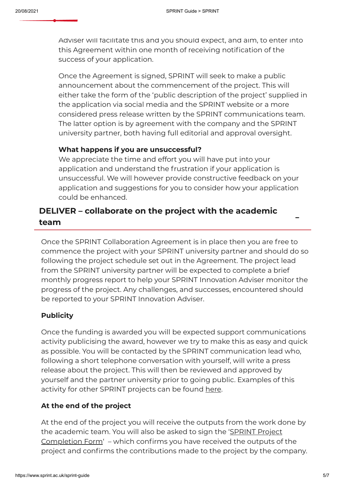[SPRINT](https://www.sprint.ac.uk/) Collaboration Agreement directly with the (lead) SPRINT Collaboration Agreement directly with the (lead

Adviser will facilitate this and you should expect, and aim, to enter into this Agreement within one month of receiving notification of the success of your application.

Once the Agreement is signed, SPRINT will seek to make a public announcement about the commencement of the project. This will either take the form of the 'public description of the project' supplied in the application via social media and the SPRINT website or a more considered press release written by the SPRINT communications team. The latter option is by agreement with the company and the SPRINT university partner, both having full editorial and approval oversight.

#### **What happens if you are unsuccessful?**

We appreciate the time and effort you will have put into your application and understand the frustration if your application is unsuccessful. We will however provide constructive feedback on your application and suggestions for you to consider how your application could be enhanced.

# **DELIVER – collaborate on the project with the academic team** -

Once the SPRINT Collaboration Agreement is in place then you are free to commence the project with your SPRINT university partner and should do so following the project schedule set out in the Agreement. The project lead from the SPRINT university partner will be expected to complete a brief monthly progress report to help your SPRINT Innovation Adviser monitor the progress of the project. Any challenges, and successes, encountered should be reported to your SPRINT Innovation Adviser.

#### **Publicity**

Once the funding is awarded you will be expected support communications activity publicising the award, however we try to make this as easy and quick as possible. You will be contacted by the SPRINT communication lead who, following a short telephone conversation with yourself, will write a press release about the project. This will then be reviewed and approved by yourself and the partner university prior to going public. Examples of this activity for other SPRINT projects can be found [here.](https://www.sprint.ac.uk/news-stories)

#### **At the end of the project**

At the end of the project you will receive the outputs from the work done by the academic team. You will also be asked to sign the 'SPRINT Project [Completion](https://www.sprint.ac.uk/wp-content/uploads/2020/03/SPRINT-Activity-Project-Completion-Form-v2.docx) Form' – which confirms you have received the outputs of the project and confirms the contributions made to the project by the company.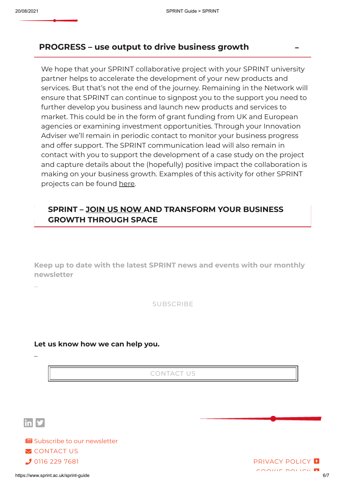

#### **PROGRESS – use output to drive business growth** -

We hope that your SPRINT collaborative project with your SPRINT university partner helps to accelerate the development of your new products and services. But that's not the end of the journey. Remaining in the Network will ensure that SPRINT can continue to signpost you to the support you need to further develop you business and launch new products and services to market. This could be in the form of grant funding from UK and European agencies or examining investment opportunities. Through your Innovation Adviser we'll remain in periodic contact to monitor your business progress and offer support. The SPRINT communication lead will also remain in contact with you to support the development of a case study on the project and capture details about the (hopefully) positive impact the collaboration is making on your business growth. Examples of this activity for other SPRINT projects can be found [here](https://www.sprint.ac.uk/case-studies).

#### **SPRINT – JOIN US [NOW](https://www.sprint.ac.uk/subscribe/) AND TRANSFORM YOUR BUSINESS GROWTH THROUGH SPACE**

**Keep up to date with the latest SPRINT news and events with our monthly newsletter**

[SUBSCRIBE](https://www.sprint.ac.uk/subscribe)

#### **Let us know how we can help you.**

[CONTACT](https://www.sprint.ac.uk/contact-us?contact_referrer=11) US



\_

\_